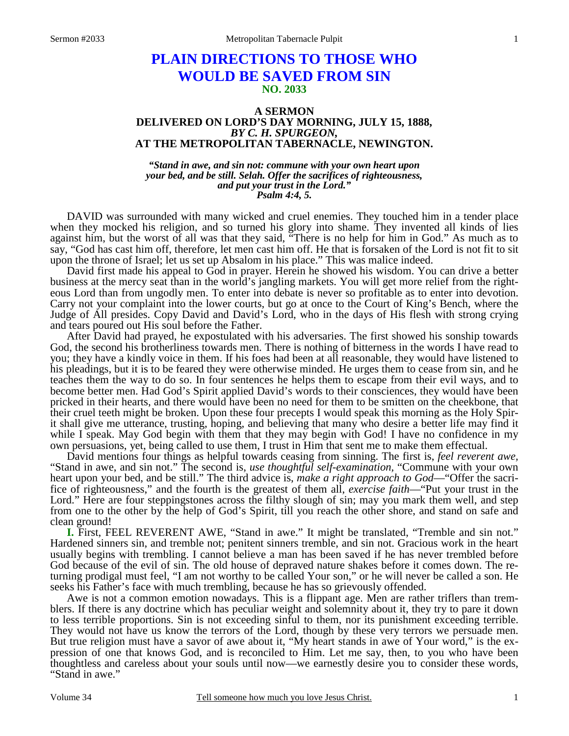# **PLAIN DIRECTIONS TO THOSE WHO WOULD BE SAVED FROM SIN NO. 2033**

#### **A SERMON DELIVERED ON LORD'S DAY MORNING, JULY 15, 1888,**  *BY C. H. SPURGEON,*  **AT THE METROPOLITAN TABERNACLE, NEWINGTON.**

*"Stand in awe, and sin not: commune with your own heart upon your bed, and be still. Selah. Offer the sacrifices of righteousness, and put your trust in the Lord." Psalm 4:4, 5.* 

DAVID was surrounded with many wicked and cruel enemies. They touched him in a tender place when they mocked his religion, and so turned his glory into shame. They invented all kinds of lies against him, but the worst of all was that they said, "There is no help for him in God." As much as to say, "God has cast him off, therefore, let men cast him off. He that is forsaken of the Lord is not fit to sit upon the throne of Israel; let us set up Absalom in his place." This was malice indeed.

David first made his appeal to God in prayer. Herein he showed his wisdom. You can drive a better business at the mercy seat than in the world's jangling markets. You will get more relief from the righteous Lord than from ungodly men. To enter into debate is never so profitable as to enter into devotion. Carry not your complaint into the lower courts, but go at once to the Court of King's Bench, where the Judge of All presides. Copy David and David's Lord, who in the days of His flesh with strong crying and tears poured out His soul before the Father.

After David had prayed, he expostulated with his adversaries. The first showed his sonship towards God, the second his brotherliness towards men. There is nothing of bitterness in the words I have read to you; they have a kindly voice in them. If his foes had been at all reasonable, they would have listened to his pleadings, but it is to be feared they were otherwise minded. He urges them to cease from sin, and he teaches them the way to do so. In four sentences he helps them to escape from their evil ways, and to become better men. Had God's Spirit applied David's words to their consciences, they would have been pricked in their hearts, and there would have been no need for them to be smitten on the cheekbone, that their cruel teeth might be broken. Upon these four precepts I would speak this morning as the Holy Spirit shall give me utterance, trusting, hoping, and believing that many who desire a better life may find it while I speak. May God begin with them that they may begin with God! I have no confidence in my own persuasions, yet, being called to use them, I trust in Him that sent me to make them effectual.

David mentions four things as helpful towards ceasing from sinning. The first is, *feel reverent awe,* "Stand in awe, and sin not." The second is, *use thoughtful self-examination,* "Commune with your own heart upon your bed, and be still." The third advice is, *make a right approach to God*—"Offer the sacrifice of righteousness," and the fourth is the greatest of them all, *exercise faith*—"Put your trust in the Lord." Here are four steppingstones across the filthy slough of sin; may you mark them well, and step from one to the other by the help of God's Spirit, till you reach the other shore, and stand on safe and clean ground!

**I.** First, FEEL REVERENT AWE, "Stand in awe." It might be translated, "Tremble and sin not." Hardened sinners sin, and tremble not; penitent sinners tremble, and sin not. Gracious work in the heart usually begins with trembling. I cannot believe a man has been saved if he has never trembled before God because of the evil of sin. The old house of depraved nature shakes before it comes down. The returning prodigal must feel, "I am not worthy to be called Your son," or he will never be called a son. He seeks his Father's face with much trembling, because he has so grievously offended.

Awe is not a common emotion nowadays. This is a flippant age. Men are rather triflers than tremblers. If there is any doctrine which has peculiar weight and solemnity about it, they try to pare it down to less terrible proportions. Sin is not exceeding sinful to them, nor its punishment exceeding terrible. They would not have us know the terrors of the Lord, though by these very terrors we persuade men. But true religion must have a savor of awe about it, "My heart stands in awe of Your word," is the expression of one that knows God, and is reconciled to Him. Let me say, then, to you who have been thoughtless and careless about your souls until now—we earnestly desire you to consider these words, "Stand in awe."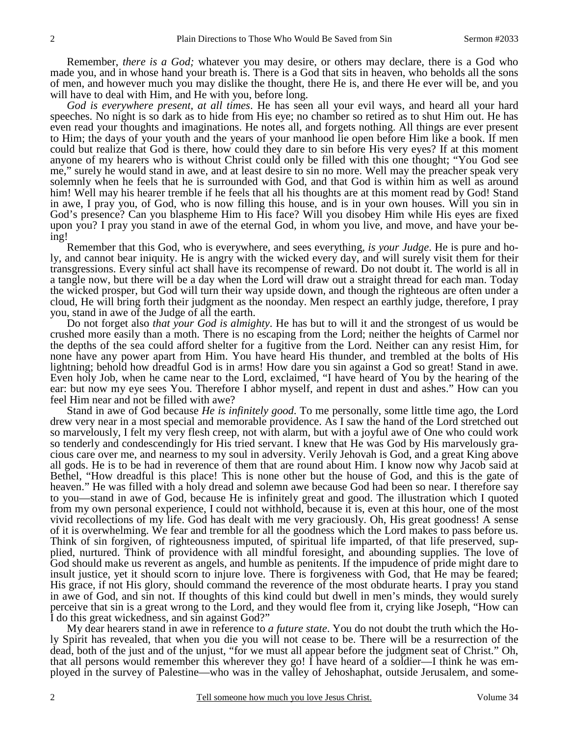Remember, *there is a God;* whatever you may desire, or others may declare, there is a God who made you, and in whose hand your breath is. There is a God that sits in heaven, who beholds all the sons of men, and however much you may dislike the thought, there He is, and there He ever will be, and you will have to deal with Him, and He with you, before long.

*God is everywhere present, at all times*. He has seen all your evil ways, and heard all your hard speeches. No night is so dark as to hide from His eye; no chamber so retired as to shut Him out. He has even read your thoughts and imaginations. He notes all, and forgets nothing. All things are ever present to Him; the days of your youth and the years of your manhood lie open before Him like a book. If men could but realize that God is there, how could they dare to sin before His very eyes? If at this moment anyone of my hearers who is without Christ could only be filled with this one thought; "You God see me," surely he would stand in awe, and at least desire to sin no more. Well may the preacher speak very solemnly when he feels that he is surrounded with God, and that God is within him as well as around him! Well may his hearer tremble if he feels that all his thoughts are at this moment read by God! Stand in awe, I pray you, of God, who is now filling this house, and is in your own houses. Will you sin in God's presence? Can you blaspheme Him to His face? Will you disobey Him while His eyes are fixed upon you? I pray you stand in awe of the eternal God, in whom you live, and move, and have your being!

Remember that this God, who is everywhere, and sees everything, *is your Judge*. He is pure and holy, and cannot bear iniquity. He is angry with the wicked every day, and will surely visit them for their transgressions. Every sinful act shall have its recompense of reward. Do not doubt it. The world is all in a tangle now, but there will be a day when the Lord will draw out a straight thread for each man. Today the wicked prosper, but God will turn their way upside down, and though the righteous are often under a cloud, He will bring forth their judgment as the noonday. Men respect an earthly judge, therefore, I pray you, stand in awe of the Judge of all the earth.

Do not forget also *that your God is almighty*. He has but to will it and the strongest of us would be crushed more easily than a moth. There is no escaping from the Lord; neither the heights of Carmel nor the depths of the sea could afford shelter for a fugitive from the Lord. Neither can any resist Him, for none have any power apart from Him. You have heard His thunder, and trembled at the bolts of His lightning; behold how dreadful God is in arms! How dare you sin against a God so great! Stand in awe. Even holy Job, when he came near to the Lord, exclaimed, "I have heard of You by the hearing of the ear: but now my eye sees You. Therefore I abhor myself, and repent in dust and ashes." How can you feel Him near and not be filled with awe?

Stand in awe of God because *He is infinitely good*. To me personally, some little time ago, the Lord drew very near in a most special and memorable providence. As I saw the hand of the Lord stretched out so marvelously, I felt my very flesh creep, not with alarm, but with a joyful awe of One who could work so tenderly and condescendingly for His tried servant. I knew that He was God by His marvelously gracious care over me, and nearness to my soul in adversity. Verily Jehovah is God, and a great King above all gods. He is to be had in reverence of them that are round about Him. I know now why Jacob said at Bethel, "How dreadful is this place! This is none other but the house of God, and this is the gate of heaven." He was filled with a holy dread and solemn awe because God had been so near. I therefore say to you—stand in awe of God, because He is infinitely great and good. The illustration which I quoted from my own personal experience, I could not withhold, because it is, even at this hour, one of the most vivid recollections of my life. God has dealt with me very graciously. Oh, His great goodness! A sense of it is overwhelming. We fear and tremble for all the goodness which the Lord makes to pass before us. Think of sin forgiven, of righteousness imputed, of spiritual life imparted, of that life preserved, supplied, nurtured. Think of providence with all mindful foresight, and abounding supplies. The love of God should make us reverent as angels, and humble as penitents. If the impudence of pride might dare to insult justice, yet it should scorn to injure love. There is forgiveness with God, that He may be feared; His grace, if not His glory, should command the reverence of the most obdurate hearts. I pray you stand in awe of God, and sin not. If thoughts of this kind could but dwell in men's minds, they would surely perceive that sin is a great wrong to the Lord, and they would flee from it, crying like Joseph, "How can I do this great wickedness, and sin against God?"

My dear hearers stand in awe in reference to *a future state*. You do not doubt the truth which the Holy Spirit has revealed, that when you die you will not cease to be. There will be a resurrection of the dead, both of the just and of the unjust, "for we must all appear before the judgment seat of Christ." Oh, that all persons would remember this wherever they go! I have heard of a soldier—I think he was employed in the survey of Palestine—who was in the valley of Jehoshaphat, outside Jerusalem, and some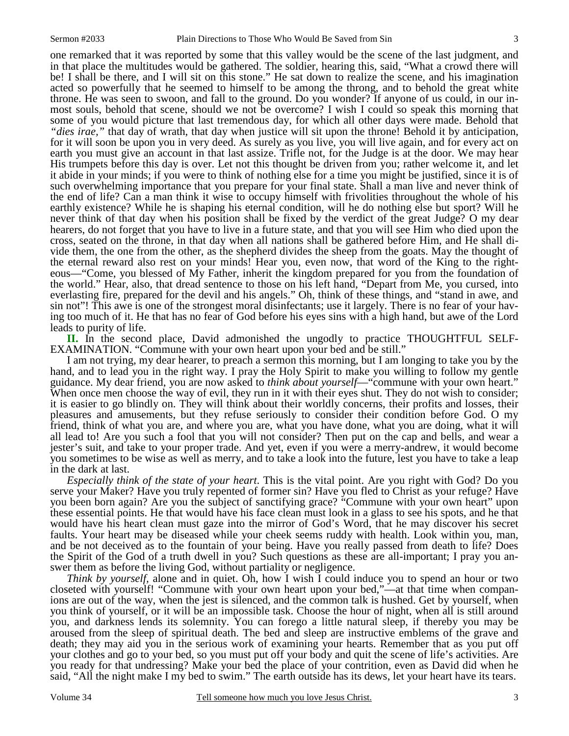one remarked that it was reported by some that this valley would be the scene of the last judgment, and in that place the multitudes would be gathered. The soldier, hearing this, said, "What a crowd there will be! I shall be there, and I will sit on this stone." He sat down to realize the scene, and his imagination acted so powerfully that he seemed to himself to be among the throng, and to behold the great white throne. He was seen to swoon, and fall to the ground. Do you wonder? If anyone of us could, in our inmost souls, behold that scene, should we not be overcome? I wish I could so speak this morning that some of you would picture that last tremendous day, for which all other days were made. Behold that *"dies irae,"* that day of wrath, that day when justice will sit upon the throne! Behold it by anticipation, for it will soon be upon you in very deed. As surely as you live, you will live again, and for every act on earth you must give an account in that last assize. Trifle not, for the Judge is at the door. We may hear His trumpets before this day is over. Let not this thought be driven from you; rather welcome it, and let it abide in your minds; if you were to think of nothing else for a time you might be justified, since it is of such overwhelming importance that you prepare for your final state. Shall a man live and never think of the end of life? Can a man think it wise to occupy himself with frivolities throughout the whole of his earthly existence? While he is shaping his eternal condition, will he do nothing else but sport? Will he never think of that day when his position shall be fixed by the verdict of the great Judge? O my dear hearers, do not forget that you have to live in a future state, and that you will see Him who died upon the cross, seated on the throne, in that day when all nations shall be gathered before Him, and He shall divide them, the one from the other, as the shepherd divides the sheep from the goats. May the thought of the eternal reward also rest on your minds! Hear you, even now, that word of the King to the righteous—"Come, you blessed of My Father, inherit the kingdom prepared for you from the foundation of the world." Hear, also, that dread sentence to those on his left hand, "Depart from Me, you cursed, into everlasting fire, prepared for the devil and his angels." Oh, think of these things, and "stand in awe, and sin not"! This awe is one of the strongest moral disinfectants; use it largely. There is no fear of your having too much of it. He that has no fear of God before his eyes sins with a high hand, but awe of the Lord leads to purity of life.

**II.** In the second place, David admonished the ungodly to practice THOUGHTFUL SELF-EXAMINATION. "Commune with your own heart upon your bed and be still."

I am not trying, my dear hearer, to preach a sermon this morning, but I am longing to take you by the hand, and to lead you in the right way. I pray the Holy Spirit to make you willing to follow my gentle guidance. My dear friend, you are now asked to *think about yourself*—"commune with your own heart." When once men choose the way of evil, they run in it with their eyes shut. They do not wish to consider; it is easier to go blindly on. They will think about their worldly concerns, their profits and losses, their pleasures and amusements, but they refuse seriously to consider their condition before God. O my friend, think of what you are, and where you are, what you have done, what you are doing, what it will all lead to! Are you such a fool that you will not consider? Then put on the cap and bells, and wear a jester's suit, and take to your proper trade. And yet, even if you were a merry-andrew, it would become you sometimes to be wise as well as merry, and to take a look into the future, lest you have to take a leap in the dark at last.

*Especially think of the state of your heart*. This is the vital point. Are you right with God? Do you serve your Maker? Have you truly repented of former sin? Have you fled to Christ as your refuge? Have you been born again? Are you the subject of sanctifying grace? "Commune with your own heart" upon these essential points. He that would have his face clean must look in a glass to see his spots, and he that would have his heart clean must gaze into the mirror of God's Word, that he may discover his secret faults. Your heart may be diseased while your cheek seems ruddy with health. Look within you, man, and be not deceived as to the fountain of your being. Have you really passed from death to life? Does the Spirit of the God of a truth dwell in you? Such questions as these are all-important; I pray you answer them as before the living God, without partiality or negligence.

*Think by yourself,* alone and in quiet. Oh, how I wish I could induce you to spend an hour or two closeted with yourself! "Commune with your own heart upon your bed,"—at that time when companions are out of the way, when the jest is silenced, and the common talk is hushed. Get by yourself, when you think of yourself, or it will be an impossible task. Choose the hour of night, when all is still around you, and darkness lends its solemnity. You can forego a little natural sleep, if thereby you may be aroused from the sleep of spiritual death. The bed and sleep are instructive emblems of the grave and death; they may aid you in the serious work of examining your hearts. Remember that as you put off your clothes and go to your bed, so you must put off your body and quit the scene of life's activities. Are you ready for that undressing? Make your bed the place of your contrition, even as David did when he said, "All the night make I my bed to swim." The earth outside has its dews, let your heart have its tears.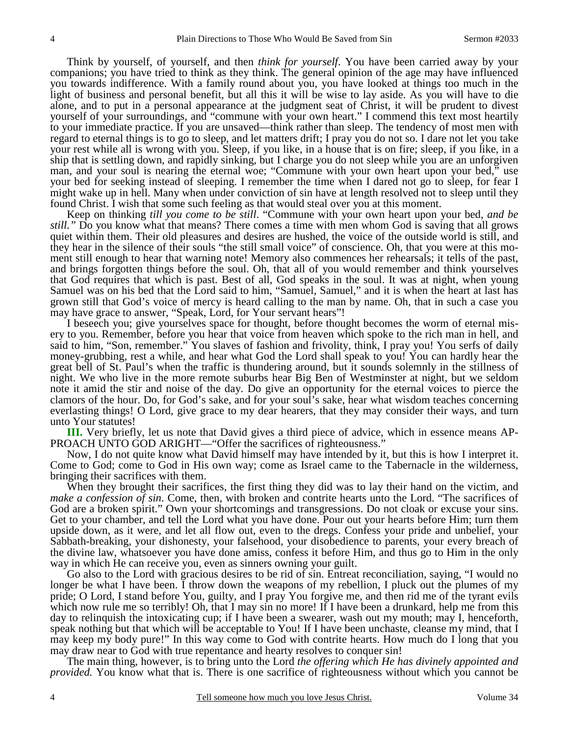Think by yourself, of yourself, and then *think for yourself*. You have been carried away by your companions; you have tried to think as they think. The general opinion of the age may have influenced you towards indifference. With a family round about you, you have looked at things too much in the light of business and personal benefit, but all this it will be wise to lay aside. As you will have to die alone, and to put in a personal appearance at the judgment seat of Christ, it will be prudent to divest yourself of your surroundings, and "commune with your own heart." I commend this text most heartily to your immediate practice. If you are unsaved—think rather than sleep. The tendency of most men with regard to eternal things is to go to sleep, and let matters drift; I pray you do not so. I dare not let you take your rest while all is wrong with you. Sleep, if you like, in a house that is on fire; sleep, if you like, in a ship that is settling down, and rapidly sinking, but I charge you do not sleep while you are an unforgiven man, and your soul is nearing the eternal woe; "Commune with your own heart upon your bed," use your bed for seeking instead of sleeping. I remember the time when I dared not go to sleep, for fear I might wake up in hell. Many when under conviction of sin have at length resolved not to sleep until they found Christ. I wish that some such feeling as that would steal over you at this moment.

Keep on thinking *till you come to be still*. "Commune with your own heart upon your bed, *and be still."* Do you know what that means? There comes a time with men whom God is saving that all grows quiet within them. Their old pleasures and desires are hushed, the voice of the outside world is still, and they hear in the silence of their souls "the still small voice" of conscience. Oh, that you were at this moment still enough to hear that warning note! Memory also commences her rehearsals; it tells of the past, and brings forgotten things before the soul. Oh, that all of you would remember and think yourselves that God requires that which is past. Best of all, God speaks in the soul. It was at night, when young Samuel was on his bed that the Lord said to him, "Samuel, Samuel," and it is when the heart at last has grown still that God's voice of mercy is heard calling to the man by name. Oh, that in such a case you may have grace to answer, "Speak, Lord, for Your servant hears"!

I beseech you; give yourselves space for thought, before thought becomes the worm of eternal misery to you. Remember, before you hear that voice from heaven which spoke to the rich man in hell, and said to him, "Son, remember." You slaves of fashion and frivolity, think, I pray you! You serfs of daily money-grubbing, rest a while, and hear what God the Lord shall speak to you! You can hardly hear the great bell of St. Paul's when the traffic is thundering around, but it sounds solemnly in the stillness of night. We who live in the more remote suburbs hear Big Ben of Westminster at night, but we seldom note it amid the stir and noise of the day. Do give an opportunity for the eternal voices to pierce the clamors of the hour. Do, for God's sake, and for your soul's sake, hear what wisdom teaches concerning everlasting things! O Lord, give grace to my dear hearers, that they may consider their ways, and turn unto Your statutes!

**III.** Very briefly, let us note that David gives a third piece of advice, which in essence means AP-PROACH UNTO GOD ARIGHT—"Offer the sacrifices of righteousness."

Now, I do not quite know what David himself may have intended by it, but this is how I interpret it. Come to God; come to God in His own way; come as Israel came to the Tabernacle in the wilderness, bringing their sacrifices with them.

When they brought their sacrifices, the first thing they did was to lay their hand on the victim, and *make a confession of sin*. Come, then, with broken and contrite hearts unto the Lord. "The sacrifices of God are a broken spirit." Own your shortcomings and transgressions. Do not cloak or excuse your sins. Get to your chamber, and tell the Lord what you have done. Pour out your hearts before Him; turn them upside down, as it were, and let all flow out, even to the dregs. Confess your pride and unbelief, your Sabbath-breaking, your dishonesty, your falsehood, your disobedience to parents, your every breach of the divine law, whatsoever you have done amiss, confess it before Him, and thus go to Him in the only way in which He can receive you, even as sinners owning your guilt.

Go also to the Lord with gracious desires to be rid of sin. Entreat reconciliation, saying, "I would no longer be what I have been. I throw down the weapons of my rebellion, I pluck out the plumes of my pride; O Lord, I stand before You, guilty, and I pray You forgive me, and then rid me of the tyrant evils which now rule me so terribly! Oh, that I may sin no more! If I have been a drunkard, help me from this day to relinquish the intoxicating cup; if I have been a swearer, wash out my mouth; may I, henceforth, speak nothing but that which will be acceptable to You! If I have been unchaste, cleanse my mind, that I may keep my body pure!" In this way come to God with contrite hearts. How much do I long that you may draw near to God with true repentance and hearty resolves to conquer sin!

The main thing, however, is to bring unto the Lord *the offering which He has divinely appointed and provided.* You know what that is. There is one sacrifice of righteousness without which you cannot be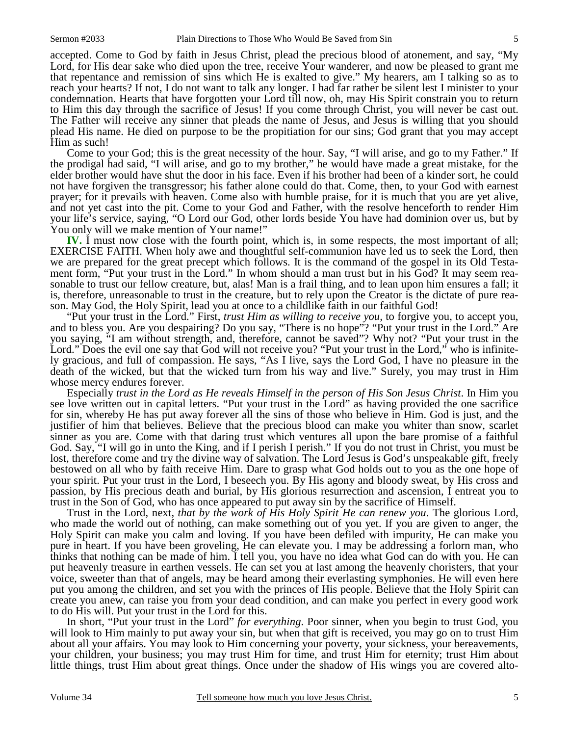accepted. Come to God by faith in Jesus Christ, plead the precious blood of atonement, and say, "My Lord, for His dear sake who died upon the tree, receive Your wanderer, and now be pleased to grant me that repentance and remission of sins which He is exalted to give." My hearers, am I talking so as to reach your hearts? If not, I do not want to talk any longer. I had far rather be silent lest I minister to your condemnation. Hearts that have forgotten your Lord till now, oh, may His Spirit constrain you to return to Him this day through the sacrifice of Jesus! If you come through Christ, you will never be cast out. The Father will receive any sinner that pleads the name of Jesus, and Jesus is willing that you should plead His name. He died on purpose to be the propitiation for our sins; God grant that you may accept Him as such!

Come to your God; this is the great necessity of the hour. Say, "I will arise, and go to my Father." If the prodigal had said, "I will arise, and go to my brother," he would have made a great mistake, for the elder brother would have shut the door in his face. Even if his brother had been of a kinder sort, he could not have forgiven the transgressor; his father alone could do that. Come, then, to your God with earnest prayer; for it prevails with heaven. Come also with humble praise, for it is much that you are yet alive, and not yet cast into the pit. Come to your God and Father, with the resolve henceforth to render Him your life's service, saying, "O Lord our God, other lords beside You have had dominion over us, but by You only will we make mention of Your name!"

**IV.** I must now close with the fourth point, which is, in some respects, the most important of all; EXERCISE FAITH. When holy awe and thoughtful self-communion have led us to seek the Lord, then we are prepared for the great precept which follows. It is the command of the gospel in its Old Testament form, "Put your trust in the Lord." In whom should a man trust but in his God? It may seem reasonable to trust our fellow creature, but, alas! Man is a frail thing, and to lean upon him ensures a fall; it is, therefore, unreasonable to trust in the creature, but to rely upon the Creator is the dictate of pure reason. May God, the Holy Spirit, lead you at once to a childlike faith in our faithful God!

"Put your trust in the Lord." First, *trust Him as willing to receive you,* to forgive you, to accept you, and to bless you. Are you despairing? Do you say, "There is no hope"? "Put your trust in the Lord." Are you saying, "I am without strength, and, therefore, cannot be saved"? Why not? "Put your trust in the Lord." Does the evil one say that God will not receive you? "Put your trust in the Lord," who is infinitely gracious, and full of compassion. He says, "As I live, says the Lord God, I have no pleasure in the death of the wicked, but that the wicked turn from his way and live." Surely, you may trust in Him whose mercy endures forever.

Especially *trust in the Lord as He reveals Himself in the person of His Son Jesus Christ*. In Him you see love written out in capital letters. "Put your trust in the Lord" as having provided the one sacrifice for sin, whereby He has put away forever all the sins of those who believe in Him. God is just, and the justifier of him that believes. Believe that the precious blood can make you whiter than snow, scarlet sinner as you are. Come with that daring trust which ventures all upon the bare promise of a faithful God. Say, "I will go in unto the King, and if I perish I perish." If you do not trust in Christ, you must be lost, therefore come and try the divine way of salvation. The Lord Jesus is God's unspeakable gift, freely bestowed on all who by faith receive Him. Dare to grasp what God holds out to you as the one hope of your spirit. Put your trust in the Lord, I beseech you. By His agony and bloody sweat, by His cross and passion, by His precious death and burial, by His glorious resurrection and ascension, I entreat you to trust in the Son of God, who has once appeared to put away sin by the sacrifice of Himself.

Trust in the Lord, next, *that by the work of His Holy Spirit He can renew you*. The glorious Lord, who made the world out of nothing, can make something out of you yet. If you are given to anger, the Holy Spirit can make you calm and loving. If you have been defiled with impurity, He can make you pure in heart. If you have been groveling, He can elevate you. I may be addressing a forlorn man, who thinks that nothing can be made of him. I tell you, you have no idea what God can do with you. He can put heavenly treasure in earthen vessels. He can set you at last among the heavenly choristers, that your voice, sweeter than that of angels, may be heard among their everlasting symphonies. He will even here put you among the children, and set you with the princes of His people. Believe that the Holy Spirit can create you anew, can raise you from your dead condition, and can make you perfect in every good work to do His will. Put your trust in the Lord for this.

In short, "Put your trust in the Lord" *for everything*. Poor sinner, when you begin to trust God, you will look to Him mainly to put away your sin, but when that gift is received, you may go on to trust Him about all your affairs. You may look to Him concerning your poverty, your sickness, your bereavements, your children, your business; you may trust Him for time, and trust Him for eternity; trust Him about little things, trust Him about great things. Once under the shadow of His wings you are covered alto-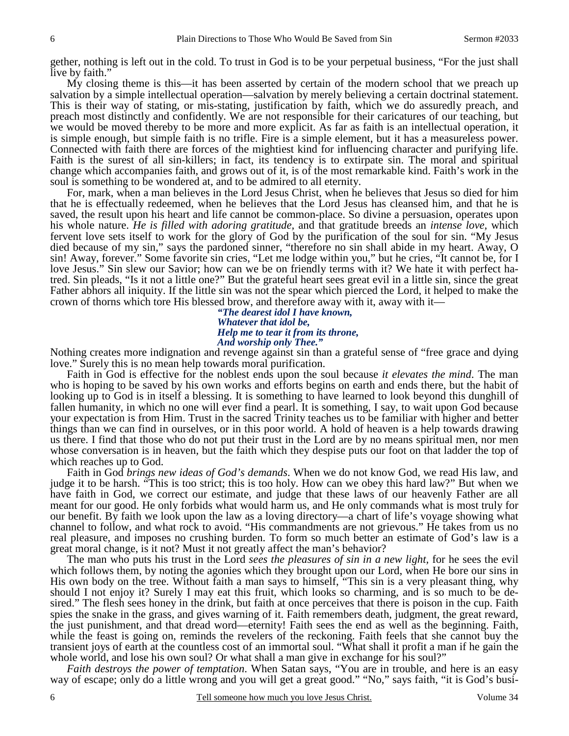gether, nothing is left out in the cold. To trust in God is to be your perpetual business, "For the just shall live by faith."

My closing theme is this—it has been asserted by certain of the modern school that we preach up salvation by a simple intellectual operation—salvation by merely believing a certain doctrinal statement. This is their way of stating, or mis-stating, justification by faith, which we do assuredly preach, and preach most distinctly and confidently. We are not responsible for their caricatures of our teaching, but we would be moved thereby to be more and more explicit. As far as faith is an intellectual operation, it is simple enough, but simple faith is no trifle. Fire is a simple element, but it has a measureless power. Connected with faith there are forces of the mightiest kind for influencing character and purifying life. Faith is the surest of all sin-killers; in fact, its tendency is to extirpate sin. The moral and spiritual change which accompanies faith, and grows out of it, is of the most remarkable kind. Faith's work in the soul is something to be wondered at, and to be admired to all eternity.

For, mark, when a man believes in the Lord Jesus Christ, when he believes that Jesus so died for him that he is effectually redeemed, when he believes that the Lord Jesus has cleansed him, and that he is saved, the result upon his heart and life cannot be common-place. So divine a persuasion, operates upon his whole nature. *He is filled with adoring gratitude,* and that gratitude breeds an *intense love,* which fervent love sets itself to work for the glory of God by the purification of the soul for sin. "My Jesus died because of my sin," says the pardoned sinner, "therefore no sin shall abide in my heart. Away, O sin! Away, forever." Some favorite sin cries, "Let me lodge within you," but he cries, "It cannot be, for I love Jesus." Sin slew our Savior; how can we be on friendly terms with it? We hate it with perfect hatred. Sin pleads, "Is it not a little one?" But the grateful heart sees great evil in a little sin, since the great Father abhors all iniquity. If the little sin was not the spear which pierced the Lord, it helped to make the crown of thorns which tore His blessed brow, and therefore away with it, away with it—

*"The dearest idol I have known, Whatever that idol be, Help me to tear it from its throne, And worship only Thee."* 

Nothing creates more indignation and revenge against sin than a grateful sense of "free grace and dying love." Surely this is no mean help towards moral purification.

Faith in God is effective for the noblest ends upon the soul because *it elevates the mind*. The man who is hoping to be saved by his own works and efforts begins on earth and ends there, but the habit of looking up to God is in itself a blessing. It is something to have learned to look beyond this dunghill of fallen humanity, in which no one will ever find a pearl. It is something, I say, to wait upon God because your expectation is from Him. Trust in the sacred Trinity teaches us to be familiar with higher and better things than we can find in ourselves, or in this poor world. A hold of heaven is a help towards drawing us there. I find that those who do not put their trust in the Lord are by no means spiritual men, nor men whose conversation is in heaven, but the faith which they despise puts our foot on that ladder the top of which reaches up to God.

Faith in God *brings new ideas of God's demands*. When we do not know God, we read His law, and judge it to be harsh. "This is too strict; this is too holy. How can we obey this hard law?" But when we have faith in God, we correct our estimate, and judge that these laws of our heavenly Father are all meant for our good. He only forbids what would harm us, and He only commands what is most truly for our benefit. By faith we look upon the law as a loving directory—a chart of life's voyage showing what channel to follow, and what rock to avoid. "His commandments are not grievous." He takes from us no real pleasure, and imposes no crushing burden. To form so much better an estimate of God's law is a great moral change, is it not? Must it not greatly affect the man's behavior?

The man who puts his trust in the Lord *sees the pleasures of sin in a new light,* for he sees the evil which follows them, by noting the agonies which they brought upon our Lord, when He bore our sins in His own body on the tree. Without faith a man says to himself, "This sin is a very pleasant thing, why should I not enjoy it? Surely I may eat this fruit, which looks so charming, and is so much to be desired." The flesh sees honey in the drink, but faith at once perceives that there is poison in the cup. Faith spies the snake in the grass, and gives warning of it. Faith remembers death, judgment, the great reward, the just punishment, and that dread word—eternity! Faith sees the end as well as the beginning. Faith, while the feast is going on, reminds the revelers of the reckoning. Faith feels that she cannot buy the transient joys of earth at the countless cost of an immortal soul. "What shall it profit a man if he gain the whole world, and lose his own soul? Or what shall a man give in exchange for his soul?"

*Faith destroys the power of temptation*. When Satan says, "You are in trouble, and here is an easy way of escape; only do a little wrong and you will get a great good." "No," says faith, "it is God's busi-

6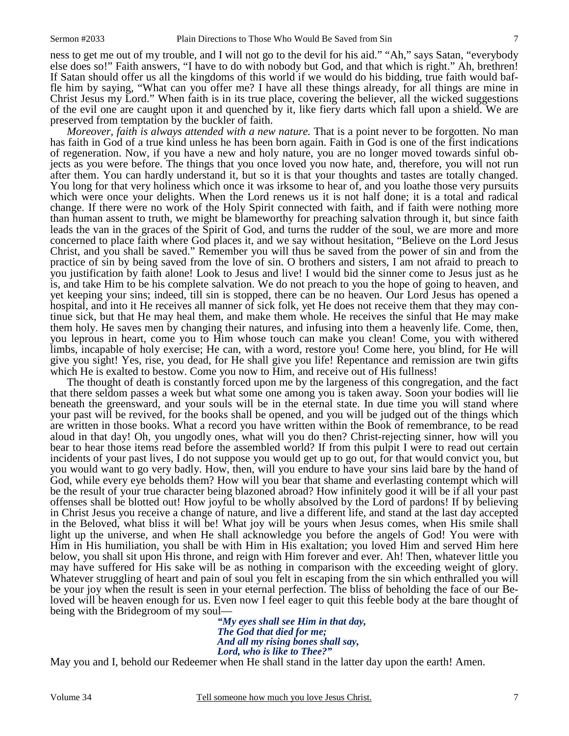ness to get me out of my trouble, and I will not go to the devil for his aid." "Ah," says Satan, "everybody else does so!" Faith answers, "I have to do with nobody but God, and that which is right." Ah, brethren! If Satan should offer us all the kingdoms of this world if we would do his bidding, true faith would baffle him by saying, "What can you offer me? I have all these things already, for all things are mine in Christ Jesus my Lord." When faith is in its true place, covering the believer, all the wicked suggestions of the evil one are caught upon it and quenched by it, like fiery darts which fall upon a shield. We are preserved from temptation by the buckler of faith.

*Moreover, faith is always attended with a new nature.* That is a point never to be forgotten. No man has faith in God of a true kind unless he has been born again. Faith in God is one of the first indications of regeneration. Now, if you have a new and holy nature, you are no longer moved towards sinful objects as you were before. The things that you once loved you now hate, and, therefore, you will not run after them. You can hardly understand it, but so it is that your thoughts and tastes are totally changed. You long for that very holiness which once it was irksome to hear of, and you loathe those very pursuits which were once your delights. When the Lord renews us it is not half done; it is a total and radical change. If there were no work of the Holy Spirit connected with faith, and if faith were nothing more than human assent to truth, we might be blameworthy for preaching salvation through it, but since faith leads the van in the graces of the Spirit of God, and turns the rudder of the soul, we are more and more concerned to place faith where God places it, and we say without hesitation, "Believe on the Lord Jesus Christ, and you shall be saved." Remember you will thus be saved from the power of sin and from the practice of sin by being saved from the love of sin. O brothers and sisters, I am not afraid to preach to you justification by faith alone! Look to Jesus and live! I would bid the sinner come to Jesus just as he is, and take Him to be his complete salvation. We do not preach to you the hope of going to heaven, and yet keeping your sins; indeed, till sin is stopped, there can be no heaven. Our Lord Jesus has opened a hospital, and into it He receives all manner of sick folk, yet He does not receive them that they may continue sick, but that He may heal them, and make them whole. He receives the sinful that He may make them holy. He saves men by changing their natures, and infusing into them a heavenly life. Come, then, you leprous in heart, come you to Him whose touch can make you clean! Come, you with withered limbs, incapable of holy exercise; He can, with a word, restore you! Come here, you blind, for He will give you sight! Yes, rise, you dead, for He shall give you life! Repentance and remission are twin gifts which He is exalted to bestow. Come you now to Him, and receive out of His fullness!

The thought of death is constantly forced upon me by the largeness of this congregation, and the fact that there seldom passes a week but what some one among you is taken away. Soon your bodies will lie beneath the greensward, and your souls will be in the eternal state. In due time you will stand where your past will be revived, for the books shall be opened, and you will be judged out of the things which are written in those books. What a record you have written within the Book of remembrance, to be read aloud in that day! Oh, you ungodly ones, what will you do then? Christ-rejecting sinner, how will you bear to hear those items read before the assembled world? If from this pulpit I were to read out certain incidents of your past lives, I do not suppose you would get up to go out, for that would convict you, but you would want to go very badly. How, then, will you endure to have your sins laid bare by the hand of God, while every eye beholds them? How will you bear that shame and everlasting contempt which will be the result of your true character being blazoned abroad? How infinitely good it will be if all your past offenses shall be blotted out! How joyful to be wholly absolved by the Lord of pardons! If by believing in Christ Jesus you receive a change of nature, and live a different life, and stand at the last day accepted in the Beloved, what bliss it will be! What joy will be yours when Jesus comes, when His smile shall light up the universe, and when He shall acknowledge you before the angels of God! You were with Him in His humiliation, you shall be with Him in His exaltation; you loved Him and served Him here below, you shall sit upon His throne, and reign with Him forever and ever. Ah! Then, whatever little you may have suffered for His sake will be as nothing in comparison with the exceeding weight of glory. Whatever struggling of heart and pain of soul you felt in escaping from the sin which enthralled you will be your joy when the result is seen in your eternal perfection. The bliss of beholding the face of our Beloved will be heaven enough for us. Even now I feel eager to quit this feeble body at the bare thought of being with the Bridegroom of my soul—

*"My eyes shall see Him in that day, The God that died for me; And all my rising bones shall say, Lord, who is like to Thee?"* 

May you and I, behold our Redeemer when He shall stand in the latter day upon the earth! Amen.